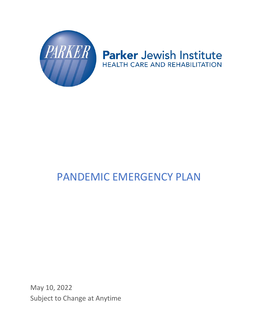

# Parker Jewish Institute **HEALTH CARE AND REHABILITATION**

# PANDEMIC EMERGENCY PLAN

May 10, 2022 Subject to Change at Anytime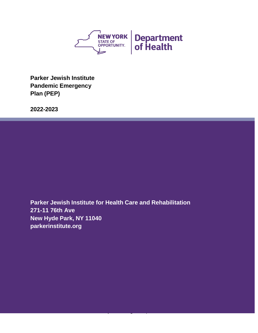

**Parker Jewish Institute Pandemic Emergency Plan (PEP)**

**2022-2023**

**Parker Jewish Institute for Health Care and Rehabilitation 271-11 76th Ave New Hyde Park, NY 11040 parkerinstitute.org**

Subject to Change at Anytime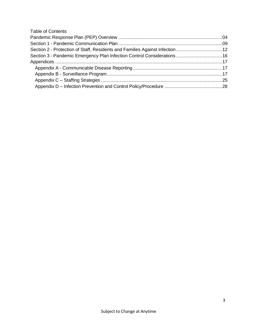# Table of Contents

<span id="page-2-0"></span>

| Section 2 - Protection of Staff, Residents and Families Against Infection 12 |  |
|------------------------------------------------------------------------------|--|
| Section 3 - Pandemic Emergency Plan Infection Control Considerations  16     |  |
|                                                                              |  |
|                                                                              |  |
|                                                                              |  |
|                                                                              |  |
|                                                                              |  |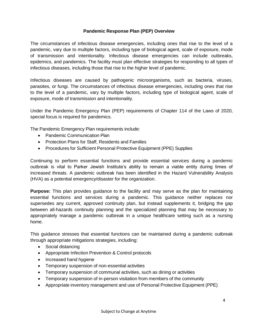#### **Pandemic Response Plan (PEP) Overview**

The circumstances of infectious disease emergencies, including ones that rise to the level of a pandemic, vary due to multiple factors, including type of biological agent, scale of exposure, mode of transmission and intentionality. Infectious disease emergencies can include outbreaks, epidemics, and pandemics. The facility must plan effective strategies for responding to all types of infectious diseases, including those that rise to the higher level of pandemic.

Infectious diseases are caused by pathogenic microorganisms, such as bacteria, viruses, parasites, or fungi. The circumstances of infectious disease emergencies, including ones that rise to the level of a pandemic, vary by multiple factors, including type of biological agent, scale of exposure, mode of transmission and intentionality.

Under the Pandemic Emergency Plan (PEP) requirements of Chapter 114 of the Laws of 2020, special focus is required for pandemics.

The Pandemic Emergency Plan requirements include:

- Pandemic Communication Plan
- Protection Plans for Staff, Residents and Families
- Procedures for Sufficient Personal Protective Equipment (PPE) Supplies

Continuing to perform essential functions and provide essential services during a pandemic outbreak is vital to Parker Jewish Institute's ability to remain a viable entity during times of increased threats. A pandemic outbreak has been identified in the Hazard Vulnerability Analysis (HVA) as a potential emergency/disaster for the organization.

**Purpose:** This plan provides guidance to the facility and may serve as the plan for maintaining essential functions and services during a pandemic. This guidance neither replaces nor supersedes any current, approved continuity plan, but instead supplements it, bridging the gap between all-hazards continuity planning and the specialized planning that may be necessary to appropriately manage a pandemic outbreak in a unique healthcare setting such as a nursing home.

This guidance stresses that essential functions can be maintained during a pandemic outbreak through appropriate mitigations strategies, including:

- Social distancing
- Appropriate Infection Prevention & Control protocols
- Increased hand hygiene
- Temporary suspension of non-essential activities
- Temporary suspension of communal activities, such as dining or activities
- Temporary suspension of in-person visitation from members of the community
- Appropriate inventory management and use of Personal Protective Equipment (PPE)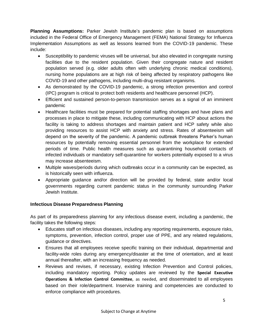**Planning Assumptions:** Parker Jewish Institute's pandemic plan is based on assumptions included in the Federal Office of Emergency Management (FEMA) National Strategy for Influenza Implementation Assumptions as well as lessons learned from the COVID-19 pandemic. These include:

- Susceptibility to pandemic viruses will be universal, but also elevated in congregate nursing facilities due to the resident population. Given their congregate nature and resident population served (e.g. older adults often with underlying chronic medical conditions), nursing home populations are at high risk of being affected by respiratory pathogens like COVID-19 and other pathogens, including multi-drug resistant organisms.
- As demonstrated by the COVID-19 pandemic, a strong infection prevention and control (IPC) program is critical to protect both residents and healthcare personnel (HCP).
- Efficient and sustained person-to-person transmission serves as a signal of an imminent pandemic
- Healthcare facilities must be prepared for potential staffing shortages and have plans and processes in place to mitigate these, including communicating with HCP about actions the facility is taking to address shortages and maintain patient and HCP safety while also providing resources to assist HCP with anxiety and stress. Rates of absenteeism will depend on the severity of the pandemic. A pandemic outbreak threatens Parker's human resources by potentially removing essential personnel from the workplace for extended periods of time. Public health measures such as quarantining household contacts of infected individuals or mandatory self-quarantine for workers potentially exposed to a virus may increase absenteeism.
- Multiple waves/periods during which outbreaks occur in a community can be expected, as is historically seen with influenza.
- Appropriate guidance and/or direction will be provided by federal, state and/or local governments regarding current pandemic status in the community surrounding Parker Jewish Institute.

# **Infectious Disease Preparedness Planning**

As part of its preparedness planning for any infectious disease event, including a pandemic, the facility takes the following steps:

- Educates staff on infectious diseases, including any reporting requirements, exposure risks, symptoms, prevention, infection control, proper use of PPE, and any related regulations, guidance or directives.
- Ensures that all employees receive specific training on their individual, departmental and facility-wide roles during any emergency/disaster at the time of orientation, and at least annual thereafter, with an increasing frequency as needed.
- Reviews and revises, if necessary, existing Infection Prevention and Control policies, including mandatory reporting. Policy updates are reviewed by the **Special Executive Operations & Infection Control Committee**, as needed, and disseminated to all employees based on their role/department. Inservice training and competencies are conducted to enforce compliance with procedures.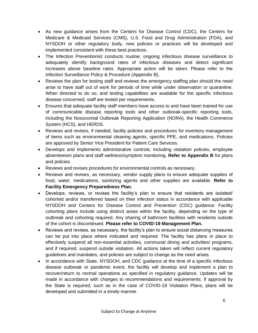- As new guidance arises from the Centers for Disease Control (CDC), the Centers for Medicare & Medicaid Services (CMS), U.S. Food and Drug Administration (FDA), and NYSDOH or other regulatory body, new policies or practices will be developed and implemented consistent with these best practices.
- The Infection Preventionist conducts routine, ongoing infectious disease surveillance to adequately identify background rates of infectious diseases and detect significant increases above baseline rates. Appropriate action will be taken. Please refer to the Infection Surveillance Policy & Procedure (Appendix B).
- Reviews the plan for testing staff and reviews the emergency staffing plan should the need arise to have staff out of work for periods of time while under observation or quarantine. When directed to do so, and testing capabilities are available for the specific infectious disease concerned, staff are tested per requirements.
- Ensures that adequate facility staff members have access to and have been trained for use of communicable disease reporting tools and other outbreak-specific reporting tools, including the Nosocomial Outbreak Reporting Application (NORA), the Health Commerce System (HCS), and HERDS.
- Reviews and revises, if needed, facility policies and procedures for inventory management of items such as environmental cleaning agents, specific PPE, and medications. Policies are approved by Senior Vice President for Patient Care Services.
- Develops and implements administrative controls, including visitation policies, employee absenteeism plans and staff wellness/symptom monitoring. **Refer to Appendix B** for plans and policies.
- Reviews and revises procedures for environmental controls as necessary.
- Reviews and revises, as necessary, vendor supply plans to ensure adequate supplies of food, water, medications, sanitizing agents and other supplies are available. **Refer to Facility Emergency Preparedness Plan.**
- Develops, reviews, or revises the facility's plan to ensure that residents are isolated/ cohorted and/or transferred based on their infection status in accordance with applicable NYSDOH and Centers for Disease Control and Prevention (CDC) guidance. Facility cohorting plans include using distinct areas within the facility, depending on the type of outbreak and cohorting required. Any sharing of bathroom facilities with residents outside of the cohort is discontinued. **Please refer to COVID-19 Management Plan.**
- Reviews and revises, as necessary, the facility's plan to ensure social distancing measures can be put into place where indicated and required. The facility has plans in place to effectively suspend all non-essential activities, communal dining and activities/ programs, and if required, suspend outside visitation. All actions taken will reflect current regulatory guidelines and mandates, and policies are subject to change as the need arises.
- In accordance with State, NYSDOH, and CDC guidance at the time of a specific infectious disease outbreak or pandemic event, the facility will develop and implement a plan to recover/return to normal operations as specified in regulatory guidance. Updates will be made in accordance with changes to recommendations and requirements. If approval by the State is required, such as in the case of COVID-19 Visitation Plans, plans will be developed and submitted in a timely manner.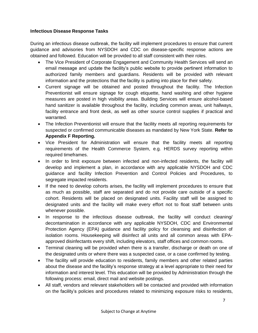#### **Infectious Disease Response Tasks**

During an infectious disease outbreak, the facility will implement procedures to ensure that current guidance and advisories from NYSDOH and CDC on disease-specific response actions are obtained and followed. Education will be provided to all staff consistent with their roles.

- The Vice President of Corporate Engagement and Community Health Services will send an email message and update the facility's public website to provide pertinent information to authorized family members and guardians. Residents will be provided with relevant information and the protections that the facility is putting into place for their safety.
- Current signage will be obtained and posted throughout the facility. The Infection Preventionist will ensure signage for cough etiquette, hand washing and other hygiene measures are posted in high visibility areas. Building Services will ensure alcohol-based hand sanitizer is available throughout the facility, including common areas, unit hallways, facility entrance and front desk, as well as other source control supplies if practical and warranted.
- The Infection Preventionist will ensure that the facility meets all reporting requirements for suspected or confirmed communicable diseases as mandated by New York State. **Refer to Appendix F Reporting.**
- Vice President for Administration will ensure that the facility meets all reporting requirements of the Health Commerce System, e.g. HERDS survey reporting within required timeframes.
- In order to limit exposure between infected and non-infected residents, the facility will develop and implement a plan, in accordance with any applicable NYSDOH and CDC guidance and facility Infection Prevention and Control Policies and Procedures, to segregate impacted residents.
- If the need to develop cohorts arises, the facility will implement procedures to ensure that as much as possible, staff are separated and do not provide care outside of a specific cohort. Residents will be placed on designated units. Facility staff will be assigned to designated units and the facility will make every effort not to float staff between units whenever possible.
- In response to the infectious disease outbreak, the facility will conduct cleaning/ decontamination in accordance with any applicable NYSDOH, CDC and Environmental Protection Agency (EPA) guidance and facility policy for cleansing and disinfection of isolation rooms. Housekeeping will disinfect all units and all common areas with EPAapproved disinfectants every shift, including elevators, staff offices and common rooms.
- Terminal cleaning will be provided when there is a transfer, discharge or death on one of the designated units or where there was a suspected case, or a case confirmed by testing.
- The facility will provide education to residents, family members and other related parties about the disease and the facility's response strategy at a level appropriate to their need for information and interest level. This education will be provided by Administration through the following process: email, direct mail and website postings.
- All staff, vendors and relevant stakeholders will be contacted and provided with information on the facility's policies and procedures related to minimizing exposure risks to residents,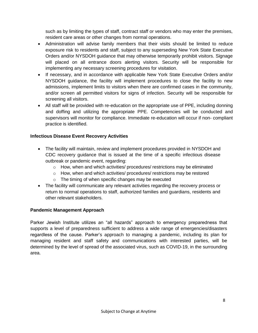such as by limiting the types of staff, contract staff or vendors who may enter the premises, resident care areas or other changes from normal operations.

- Administration will advise family members that their visits should be limited to reduce exposure risk to residents and staff, subject to any superseding New York State Executive Orders and/or NYSDOH guidance that may otherwise temporarily prohibit visitors. Signage will placed on all entrance doors alerting visitors. Security will be responsible for implementing any necessary screening procedures for visitation.
- If necessary, and in accordance with applicable New York State Executive Orders and/or NYSDOH guidance, the facility will implement procedures to close the facility to new admissions, implement limits to visitors when there are confirmed cases in the community, and/or screen all permitted visitors for signs of infection. Security will be responsible for screening all visitors.
- All staff will be provided with re-education on the appropriate use of PPE, including donning and doffing and utilizing the appropriate PPE. Competencies will be conducted and supervisors will monitor for compliance. Immediate re-education will occur if non- compliant practice is identified.

# **Infectious Disease Event Recovery Activities**

- The facility will maintain, review and implement procedures provided in NYSDOH and CDC recovery guidance that is issued at the time of a specific infectious disease outbreak or pandemic event, regarding:
	- $\circ$  How, when and which activities/ procedures/ restrictions may be eliminated
	- o How, when and which activities/ procedures/ restrictions may be restored
	- o The timing of when specific changes may be executed
- The facility will communicate any relevant activities regarding the recovery process or return to normal operations to staff, authorized families and guardians, residents and other relevant stakeholders.

# **Pandemic Management Approach**

<span id="page-7-0"></span>Parker Jewish Institute utilizes an "all hazards" approach to emergency preparedness that supports a level of preparedness sufficient to address a wide range of emergencies/disasters regardless of the cause. Parker's approach to managing a pandemic, including its plan for managing resident and staff safety and communications with interested parties, will be determined by the level of spread of the associated virus, such as COVID-19, in the surrounding area.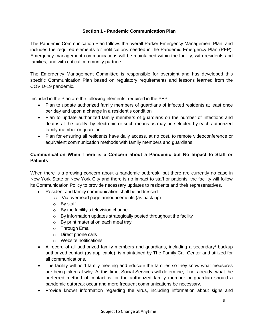#### **Section 1 - Pandemic Communication Plan**

The Pandemic Communication Plan follows the overall Parker Emergency Management Plan, and includes the required elements for notifications needed in the Pandemic Emergency Plan (PEP). Emergency management communications will be maintained within the facility, with residents and families, and with critical community partners.

The Emergency Management Committee is responsible for oversight and has developed this specific Communication Plan based on regulatory requirements and lessons learned from the COVID-19 pandemic.

Included in the Plan are the following elements, required in the PEP:

- Plan to update authorized family members of guardians of infected residents at least once per day and upon a change in a resident's condition
- Plan to update authorized family members of quardians on the number of infections and deaths at the facility, by electronic or such means as may be selected by each authorized family member or guardian
- Plan for ensuring all residents have daily access, at no cost, to remote videoconference or equivalent communication methods with family members and guardians.

# **Communication When There is a Concern about a Pandemic but No Impact to Staff or Patients**

When there is a growing concern about a pandemic outbreak, but there are currently no case in New York State or New York City and there is no impact to staff or patients, the facility will follow its Communication Policy to provide necessary updates to residents and their representatives.

- Resident and family communication shall be addressed:
	- o Via overhead page announcements (as back up)
	- o By staff
	- o By the facility's television channel
	- $\circ$  By information updates strategically posted throughout the facility
	- o By print material on each meal tray
	- o Through Email
	- o Direct phone calls
	- o Website notifications
- A record of all authorized family members and guardians, including a secondary/ backup authorized contact (as applicable), is maintained by The Family Call Center and utilized for all communications.
- The facility will hold family meeting and educate the families so they know what measures are being taken at why. At this time, Social Services will determine, if not already, what the preferred method of contact is for the authorized family member or guardian should a pandemic outbreak occur and more frequent communications be necessary.
- Provide known information regarding the virus, including information about signs and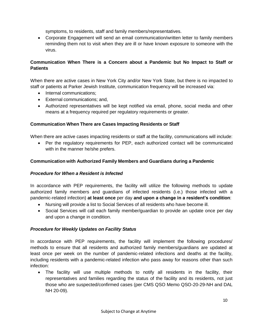symptoms, to residents, staff and family members/representatives.

 Corporate Engagement will send an email communication/written letter to family members reminding them not to visit when they are ill or have known exposure to someone with the virus.

# **Communication When There is a Concern about a Pandemic but No Impact to Staff or Patients**

When there are active cases in New York City and/or New York State, but there is no impacted to staff or patients at Parker Jewish Institute, communication frequency will be increased via:

- Internal communications:
- External communications; and,
- Authorized representatives will be kept notified via email, phone, social media and other means at a frequency required per regulatory requirements or greater.

#### **Communication When There are Cases Impacting Residents or Staff**

When there are active cases impacting residents or staff at the facility, communications will include:

 Per the regulatory requirements for PEP, each authorized contact will be communicated with in the manner he/she prefers.

#### **Communication with Authorized Family Members and Guardians during a Pandemic**

#### *Procedure for When a Resident is Infected*

In accordance with PEP requirements, the facility will utilize the following methods to update authorized family members and guardians of infected residents (i.e.) those infected with a pandemic-related infection) **at least once** per day **and upon a change in a resident's condition**:

- Nursing will provide a list to Social Services of all residents who have become ill.
- Social Services will call each family member/guardian to provide an update once per day and upon a change in condition.

#### *Procedure for Weekly Updates on Facility Status*

In accordance with PEP requirements, the facility will implement the following procedures/ methods to ensure that all residents and authorized family members/guardians are updated at least once per week on the number of pandemic-related infections and deaths at the facility, including residents with a pandemic-related infection who pass away for reasons other than such infection:

 The facility will use multiple methods to notify all residents in the facility, their representatives and families regarding the status of the facility and its residents, not just those who are suspected/confirmed cases (per CMS QSO Memo QSO-20-29-NH and DAL NH 20-09).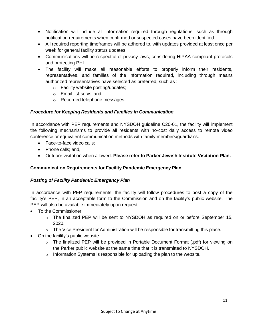- Notification will include all information required through regulations, such as through notification requirements when confirmed or suspected cases have been identified.
- All required reporting timeframes will be adhered to, with updates provided at least once per week for general facility status updates.
- Communications will be respectful of privacy laws, considering HIPAA-compliant protocols and protecting PHI.
- The facility will make all reasonable efforts to properly inform their residents, representatives, and families of the information required, including through means authorized representatives have selected as preferred, such as :
	- o Facility website posting/updates;
	- o Email list-servs; and,
	- o Recorded telephone messages.

# *Procedure for Keeping Residents and Families in Communication*

In accordance with PEP requirements and NYSDOH guideline C20-01, the facility will implement the following mechanisms to provide all residents with no-cost daily access to remote video conference or equivalent communication methods with family members/guardians.

- Face-to-face video calls:
- Phone calls; and,
- Outdoor visitation when allowed. **Please refer to Parker Jewish Institute Visitation Plan.**

# **Communication Requirements for Facility Pandemic Emergency Plan**

# *Posting of Facility Pandemic Emergency Plan*

In accordance with PEP requirements, the facility will follow procedures to post a copy of the facility's PEP, in an acceptable form to the Commission and on the facility's public website. The PEP will also be available immediately upon request.

- To the Commissioner
	- o The finalized PEP will be sent to NYSDOH as required on or before September 15, 2020.
	- $\circ$  The Vice President for Administration will be responsible for transmitting this place.
- <span id="page-10-0"></span>• On the facility's public website
	- $\circ$  The finalized PEP will be provided in Portable Document Format (.pdf) for viewing on the Parker public website at the same time that it is transmitted to NYSDOH.
	- $\circ$  Information Systems is responsible for uploading the plan to the website.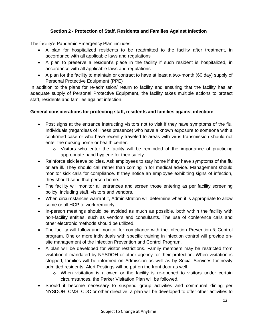# **Section 2 - Protection of Staff, Residents and Families Against Infection**

The facility's Pandemic Emergency Plan includes:

- A plan for hospitalized residents to be readmitted to the facility after treatment, in accordance with all applicable laws and regulations
- A plan to preserve a resident's place in the facility if such resident is hospitalized, in accordance with all applicable laws and regulations
- A plan for the facility to maintain or contract to have at least a two-month (60 day) supply of Personal Protective Equipment (PPE)

In addition to the plans for re-admission/ return to facility and ensuring that the facility has an adequate supply of Personal Protective Equipment, the facility takes multiple actions to protect staff, residents and families against infection.

#### **General considerations for protecting staff, residents and families against infection:**

- Post signs at the entrance instructing visitors not to visit if they have symptoms of the flu. Individuals (regardless of illness presence) who have a known exposure to someone with a confirmed case or who have recently traveled to areas with virus transmission should not enter the nursing home or health center.
	- $\circ$  Visitors who enter the facility will be reminded of the importance of practicing appropriate hand hygiene for their safety.
- Reinforce sick leave policies. Ask employees to stay home if they have symptoms of the flu or are ill. They should call rather than coming in for medical advice. Management should monitor sick calls for compliance. If they notice an employee exhibiting signs of infection, they should send that person home.
- The facility will monitor all entrances and screen those entering as per facility screening policy, including staff, visitors and vendors.
- When circumstances warrant it, Administration will determine when it is appropriate to allow some or all HCP to work remotely.
- In-person meetings should be avoided as much as possible, both within the facility with non-facility entities, such as vendors and consultants. The use of conference calls and other electronic methods should be utilized.
- The facility will follow and monitor for compliance with the Infection Prevention & Control program. One or more individuals with specific training in infection control will provide onsite management of the Infection Prevention and Control Program.
- A plan will be developed for visitor restrictions. Family members may be restricted from visitation if mandated by NYSDOH or other agency for their protection. When visitation is stopped, families will be informed on Admission as well as by Social Services for newly admitted residents. Alert Postings will be put on the front door as well.
	- $\circ$  When visitation is allowed or the facility is re-opened to visitors under certain circumstances, the Parker Visitation Plan will be followed.
- Should it become necessary to suspend group activities and communal dining per NYSDOH, CMS, CDC or other directive, a plan will be developed to offer other activities to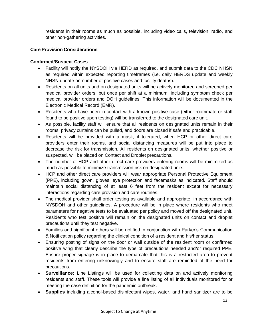residents in their rooms as much as possible, including video calls, television, radio, and other non-gathering activities.

# **Care Provision Considerations**

# **Confirmed/Suspect Cases**

- Facility will notify the NYSDOH via HERD as required, and submit data to the CDC NHSN as required within expected reporting timeframes (i.e. daily HERDS update and weekly NHSN update on number of positive cases and facility deaths).
- Residents on all units and on designated units will be actively monitored and screened per medical provider orders, but once per shift at a minimum, including symptom check per medical provider orders and DOH guidelines. This information will be documented in the Electronic Medical Record (EMR).
- Residents who have been in contact with a known positive case (either roommate or staff found to be positive upon testing) will be transferred to the designated care unit.
- As possible, facility staff will ensure that all residents on designated units remain in their rooms, privacy curtains can be pulled, and doors are closed if safe and practicable.
- Residents will be provided with a mask, if tolerated, when HCP or other direct care providers enter their rooms, and social distancing measures will be put into place to decrease the risk for transmission. All residents on designated units, whether positive or suspected, will be placed on Contact and Droplet precautions.
- The number of HCP and other direct care providers entering rooms will be minimized as much as possible to minimize transmission risk on designated units.
- HCP and other direct care providers will wear appropriate Personal Protective Equipment (PPE), including gown, gloves, eye protection and facemasks as indicated. Staff should maintain social distancing of at least 6 feet from the resident except for necessary interactions regarding care provision and care routines.
- The medical provider shall order testing as available and appropriate, in accordance with NYSDOH and other guidelines. A procedure will be in place where residents who meet parameters for negative tests to be evaluated per policy and moved off the designated unit. Residents who test positive will remain on the designated units on contact and droplet precautions until they test negative.
- Families and significant others will be notified in conjunction with Parker's Communication & Notification policy regarding the clinical condition of a resident and his/her status.
- Ensuring posting of signs on the door or wall outside of the resident room or confirmed positive wing that clearly describe the type of precautions needed and/or required PPE. Ensure proper signage is in place to demarcate that this is a restricted area to prevent residents from entering unknowingly and to ensure staff are reminded of the need for precautions.
- **Surveillance:** Line Listings will be used for collecting data on and actively monitoring residents and staff. These tools will provide a line listing of all individuals monitored for or meeting the case definition for the pandemic outbreak.
- **Supplies** including alcohol-based disinfectant wipes, water, and hand sanitizer are to be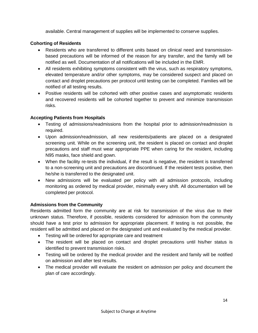available. Central management of supplies will be implemented to conserve supplies.

#### **Cohorting of Residents**

- Residents who are transferred to different units based on clinical need and transmissionbased precautions will be informed of the reason for any transfer, and the family will be notified as well. Documentation of all notifications will be included in the EMR.
- All residents exhibiting symptoms consistent with the virus, such as respiratory symptoms, elevated temperature and/or other symptoms, may be considered suspect and placed on contact and droplet precautions per protocol until testing can be completed. Families will be notified of all testing results.
- Positive residents will be cohorted with other positive cases and asymptomatic residents and recovered residents will be cohorted together to prevent and minimize transmission risks.

#### **Accepting Patients from Hospitals**

- Testing of admissions/readmissions from the hospital prior to admission/readmission is required.
- Upon admission/readmission, all new residents/patients are placed on a designated screening unit. While on the screening unit, the resident is placed on contact and droplet precautions and staff must wear appropriate PPE when caring for the resident, including N95 masks, face shield and gown.
- When the facility re-tests the individual, if the result is negative, the resident is transferred to a non-screening unit and precautions are discontinued. If the resident tests positive, then he/she is transferred to the designated unit.
- New admissions will be evaluated per policy with all admission protocols, including monitoring as ordered by medical provider, minimally every shift. All documentation will be completed per protocol.

# **Admissions from the Community**

Residents admitted form the community are at risk for transmission of the virus due to their unknown status. Therefore, if possible, residents considered for admission from the community should have a test prior to admission for appropriate placement. If testing is not possible, the resident will be admitted and placed on the designated unit and evaluated by the medical provider.

- Testing will be ordered for appropriate care and treatment
- The resident will be placed on contact and droplet precautions until his/her status is identified to prevent transmission risks.
- Testing will be ordered by the medical provider and the resident and family will be notified on admission and after test results.
- The medical provider will evaluate the resident on admission per policy and document the plan of care accordingly.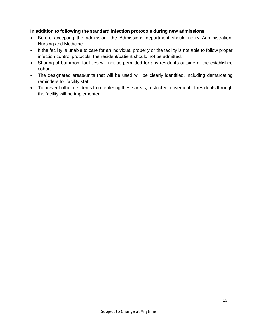#### **In addition to following the standard infection protocols during new admissions**:

- Before accepting the admission, the Admissions department should notify Administration, Nursing and Medicine.
- If the facility is unable to care for an individual properly or the facility is not able to follow proper infection control protocols, the resident/patient should not be admitted.
- Sharing of bathroom facilities will not be permitted for any residents outside of the established cohort.
- The designated areas/units that will be used will be clearly identified, including demarcating reminders for facility staff.
- To prevent other residents from entering these areas, restricted movement of residents through the facility will be implemented.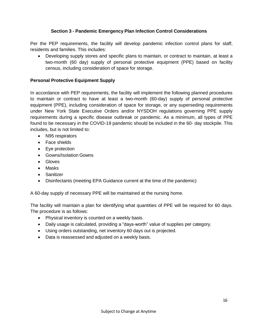# **Section 3 - Pandemic Emergency Plan Infection Control Considerations**

Per the PEP requirements, the facility will develop pandemic infection control plans for staff, residents and families. This includes:

 Developing supply stores and specific plans to maintain, or contract to maintain, at least a two-month (60 day) supply of personal protective equipment (PPE) based on facility census, including consideration of space for storage.

#### **Personal Protective Equipment Supply**

In accordance with PEP requirements, the facility will implement the following planned procedures to maintain or contract to have at least a two-month (60-day) supply of personal protective equipment (PPE), including consideration of space for storage, or any superseding requirements under New York State Executive Orders and/or NYSDOH regulations governing PPE supply requirements during a specific disease outbreak or pandemic. As a minimum, all types of PPE found to be necessary in the COVID-19 pandemic should be included in the 60- day stockpile. This includes, but is not limited to:

- N95 respirators
- Face shields
- Eye protection
- Gowns/Isolation Gowns
- Gloves
- Masks
- **•** Sanitizer
- Disinfectants (meeting EPA Guidance current at the time of the pandemic)

A 60-day supply of necessary PPE will be maintained at the nursing home.

The facility will maintain a plan for identifying what quantities of PPE will be required for 60 days. The procedure is as follows:

- Physical inventory is counted on a weekly basis.
- Daily usage is calculated, providing a "days-worth" value of supplies per category.
- Using orders outstanding, net inventory 60 days out is projected.
- Data is reassessed and adjusted on a weekly basis.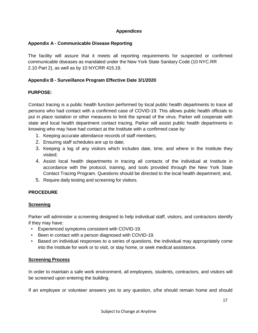#### **Appendices**

#### <span id="page-16-1"></span><span id="page-16-0"></span>**Appendix A - Communicable Disease Reporting**

The facility will assure that it meets all reporting requirements for suspected or confirmed communicable diseases as mandated under the New York State Sanitary Code (10 NYC.RR 2.10 Part 2), as well as by 10 NYCRR 415.19.

#### <span id="page-16-2"></span>**Appendix B - Surveillance Program Effective Date 3/1/2020**

#### **PURPOSE:**

Contact tracing is a public health function performed by local public health departments to trace all persons who had contact with a confirmed case of COVID-19. This allows public health officials to put in place isolation or other measures to limit the spread of the virus. Parker will cooperate with state and local health department contact tracing. Parker will assist public health departments in knowing who may have had contact at the Institute with a confirmed case by:

- 1. Keeping accurate attendance records of staff members;
- 2. Ensuring staff schedules are up to date;
- 3. Keeping a log of any visitors which includes date, time, and where in the Institute they visited;
- 4. Assist local health departments in tracing all contacts of the individual at Institute in accordance with the protocol, training, and tools provided through the New York State Contact Tracing Program. Questions should be directed to the local health department; and,
- 5. Require daily testing and screening for visitors.

# **PROCEDURE**

#### **Screening**

Parker will administer a screening designed to help individual staff, visitors, and contractors identify if they may have:

- Experienced symptoms consistent with COVID-19.
- Been in contact with a person diagnosed with COVID-19.
- Based on individual responses to a series of questions, the individual may appropriately come into the Institute for work or to visit, or stay home, or seek medical assistance.

#### **Screening Process**

In order to maintain a safe work environment, all employees, students, contractors, and visitors will be screened upon entering the building.

If an employee or volunteer answers yes to any question, s/he should remain home and should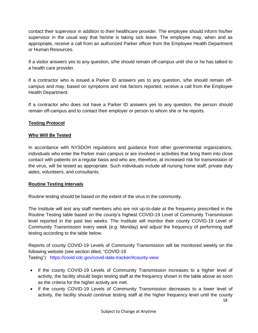contact their supervisor in addition to their healthcare provider. The employee should inform his/her supervisor in the usual way that he/she is taking sick leave. The employee may, when and as appropriate, receive a call from an authorized Parker officer from the Employee Health Department or Human Resources.

If a visitor answers yes to any question, s/he should remain off-campus until she or he has talked to a health care provider.

If a contractor who is issued a Parker ID answers yes to any question, s/he should remain offcampus and may, based on symptoms and risk factors reported, receive a call from the Employee Health Department.

If a contractor who does not have a Parker ID answers yes to any question, the person should remain off-campus and to contact their employer or person to whom she or he reports.

# **Testing Protocol**

# **Who Will Be Tested**

In accordance with NYSDOH regulations and guidance from other governmental organizations, individuals who enter the Parker main campus or are involved in activities that bring them into close contact with patients on a regular basis and who are, therefore, at increased risk for transmission of the virus, will be tested as appropriate. Such individuals include all nursing home staff, private duty aides, volunteers, and consultants.

#### **Routine Testing Intervals**

Routine testing should be based on the extent of the virus in the community.

The Institute will test any staff members who are not up-to-date at the frequency prescribed in the Routine Testing table based on the county's highest COVID-19 Level of Community Transmission level reported in the past two weeks. The Institute will monitor their county COVID-19 Level of Community Transmission every week (e.g. Monday) and adjust the frequency of performing staff testing according to the table below.

Reports of county COVID-19 Levels of Community Transmission will be monitored weekly on the following website (see section titled, "COVID-19 Testing"): https://covid.cdc.gov/covid-data-tracker/#county-view

- If the county COVID-19 Levels of Community Transmission increases to a higher level of activity, the facility should begin testing staff at the frequency shown in the table above as soon as the criteria for the higher activity are met.
- If the county COVID-19 Levels of Community Transmission decreases to a lower level of activity, the facility should continue testing staff at the higher frequency level until the county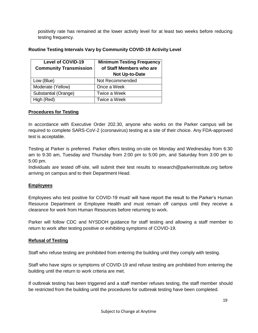positivity rate has remained at the lower activity level for at least two weeks before reducing testing frequency.

# **Routine Testing Intervals Vary by Community COVID-19 Activity Level**

| <b>Level of COVID-19</b>      | <b>Minimum Testing Frequency</b> |
|-------------------------------|----------------------------------|
| <b>Community Transmission</b> | of Staff Members who are         |
|                               | <b>Not Up-to-Date</b>            |
| Low (Blue)                    | Not Recommended                  |
| Moderate (Yellow)             | Once a Week                      |
| Substantial (Orange)          | Twice a Week                     |
| High (Red)                    | Twice a Week                     |

#### **Procedures for Testing**

In accordance with Executive Order 202.30, anyone who works on the Parker campus will be required to complete SARS-CoV-2 (coronavirus) testing at a site of their choice. Any FDA-approved test is acceptable.

Testing at Parker is preferred. Parker offers testing on-site on Monday and Wednesday from 6:30 am to 9:30 am, Tuesday and Thursday from 2:00 pm to 5:00 pm, and Saturday from 3:00 pm to 5:00 pm.

Individuals are tested off-site, will submit their test results to [research@parkerinstitute.org](mailto:research@parkerinstitute.org) before arriving on campus and to their Department Head.

#### **Employees**

Employees who test positive for COVID-19 must/ will have report the result to the Parker's Human Resource Department or Employee Health and must remain off campus until they receive a clearance for work from Human Resources before returning to work.

Parker will follow CDC and NYSDOH guidance for staff testing and allowing a staff member to return to work after testing positive or exhibiting symptoms of COVID-19.

#### **Refusal of Testing**

Staff who refuse testing are prohibited from entering the building until they comply with testing.

Staff who have signs or symptoms of COVID-19 and refuse testing are prohibited from entering the building until the return to work criteria are met.

If outbreak testing has been triggered and a staff member refuses testing, the staff member should be restricted from the building until the procedures for outbreak testing have been completed.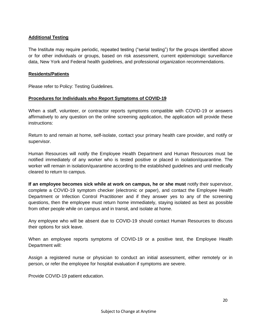#### **Additional Testing**

The Institute may require periodic, repeated testing ("serial testing") for the groups identified above or for other individuals or groups, based on risk assessment, current epidemiologic surveillance data, New York and Federal health guidelines, and professional organization recommendations.

#### **Residents/Patients**

Please refer to Policy: Testing Guidelines.

#### **Procedures for Individuals who Report Symptoms of COVID-19**

When a staff, volunteer, or contractor reports symptoms compatible with COVID-19 or answers affirmatively to any question on the online screening application, the application will provide these instructions:

Return to and remain at home, self-isolate, contact your primary health care provider, and notify or supervisor.

Human Resources will notify the Employee Health Department and Human Resources must be notified immediately of any worker who is tested positive or placed in isolation/quarantine. The worker will remain in isolation/quarantine according to the established guidelines and until medically cleared to return to campus.

**If an employee becomes sick while at work on campus, he or she must** notify their supervisor, complete a COVID-19 symptom checker (electronic or paper), and contact the Employee Health Department or Infection Control Practitioner and if they answer yes to any of the screening questions, then the employee must return home immediately, staying isolated as best as possible from other people while on campus and in transit, and isolate at home.

Any employee who will be absent due to COVID-19 should contact Human Resources to discuss their options for sick leave.

When an employee reports symptoms of COVID-19 or a positive test, the Employee Health Department will:

Assign a registered nurse or physician to conduct an initial assessment, either remotely or in person, or refer the employee for hospital evaluation if symptoms are severe.

Provide COVID-19 patient education.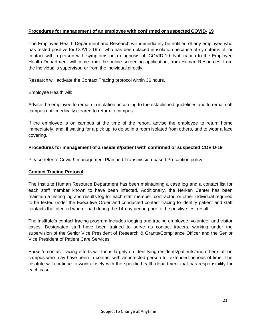#### **Procedures for management of an employee with confirmed or suspected COVID- 19**

The Employee Health Department and Research will immediately be notified of any employee who has tested positive for COVID-19 or who has been placed in isolation because of symptoms of, or contact with a person with symptoms or a diagnosis of, COVID-19. Notification to the Employee Health Department will come from the online screening application, from Human Resources, from the individual's supervisor, or from the individual directly.

Research will activate the Contact Tracing protocol within 36 hours.

Employee Health will:

Advise the employee to remain in isolation according to the established guidelines and to remain off campus until medically cleared to return to campus.

If the employee is on campus at the time of the report, advise the employee to return home immediately, and, if waiting for a pick up, to do so in a room isolated from others, and to wear a face covering.

#### **Procedures for management of a resident/patient with confirmed or suspected COVID-19**

Please refer to Covid-9 management Plan and Transmission-based Precaution policy.

#### **Contact Tracing [Protocol](https://www.montclair.edu/redhawk-restart/screening-testing-contact-tracing-protocols/)**

The Institute Human Resource Department has been maintaining a case log and a contact list for each staff member known to have been infected. Additionally, the Nerken Center has been maintain a testing log and results log for each staff member, contractor, or other individual required to be tested under the Executive Order and conducted contact tracing to identify patient and staff contacts the infected worker had during the 14-day period prior to the positive test result.

The Institute's contact tracing program includes logging and tracing employee, volunteer and visitor cases. Designated staff have been trained to serve as contact tracers, working under the supervision of the Senior Vice President of Research & Grants/Compliance Officer and the Senior Vice President of Patient Care Services.

Parker's contact tracing efforts will focus largely on identifying residents/patients/and other staff on campus who may have been in contact with an infected person for extended periods of time. The Institute will continue to work closely with the specific health department that has responsibility for each case.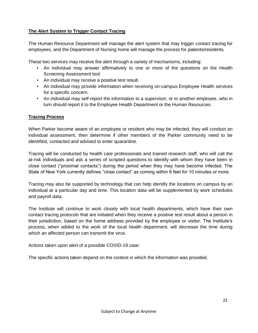# **The Alert System to Trigger Contact Tracing**

The Human Resource Department will manage the alert system that may trigger contact tracing for employees, and the Department of Nursing home will manage the process for patients/residents.

These two services may receive the alert through a variety of mechanisms, including:

- An individual may answer affirmatively to one or more of the questions on the Health Screening Assessment tool.
- An individual may receive a positive test result.
- An individual may provide information when receiving on-campus Employee Health services for a specific concern.
- An individual may self-report the information to a supervisor, or to another employee, who in turn should report it to the Employee Health Department or the Human Resources.

#### **Tracing Process**

When Parker become aware of an employee or resident who may be infected, they will conduct an individual assessment, then determine if other members of the Parker community need to be identified, contacted and advised to enter quarantine.

Tracing will be conducted by health care professionals and trained research staff, who will call the at-risk individuals and ask a series of scripted questions to identify with whom they have been in close contact ("proximal contacts") during the period when they may have become infected. The State of New York currently defines "close contact" as coming within 6 feet for 10 minutes or more.

Tracing may also be supported by technology that can help identify the locations on campus by an individual at a particular day and time. This location data will be supplemented by work schedules and payroll data.

The Institute will continue to work closely with local health departments, which have their own contact tracing protocols that are initiated when they receive a positive test result about a person in their jurisdiction, based on the home address provided by the employee or visitor. The Institute's process, when added to the work of the local health department, will decrease the time during which an affected person can transmit the virus.

Actions taken upon alert of a possible COVID-19 case:

The specific actions taken depend on the context in which the information was provided.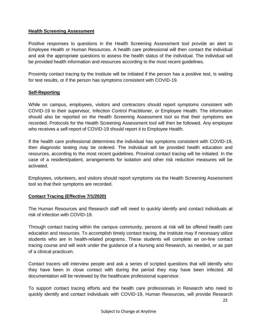#### **Health Screening Assessment**

Positive responses to questions in the Health Screening Assessment tool provide an alert to Employee Health or Human Resources. A health care professional will then contact the individual and ask the appropriate questions to assess the health status of the individual. The individual will be provided health information and resources according to the most recent guidelines.

Proximity contact tracing by the Institute will be initiated if the person has a positive test, is waiting for test results, or if the person has symptoms consistent with COVID-19.

#### **Self-Reporting**

While on campus, employees, visitors and contractors should report symptoms consistent with COVID-19 to their supervisor, Infection Control Practitioner, or Employee Health. The information should also be reported on the Health Screening Assessment tool so that their symptoms are recorded. Protocols for the Health Screening Assessment tool will then be followed. Any employee who receives a self-report of COVID-19 should report it to Employee Health.

If the health care professional determines the individual has symptoms consistent with COVID-19, then diagnostic testing may be ordered. The individual will be provided health education and resources, according to the most recent guidelines. Proximal contact tracing will be initiated. In the case of a resident/patient, arrangements for isolation and other risk reduction measures will be activated.

Employees, volunteers, and visitors should report symptoms via the Health Screening Assessment tool so that their symptoms are recorded.

#### **Contact Tracing (Effective 7/1/2020)**

The Human Resources and Research staff will need to quickly identify and contact individuals at risk of infection with COVID-19.

Through contact tracing within the campus community, persons at risk will be offered health care education and resources. To accomplish timely contact tracing, the Institute may if necessary utilize students who are in health-related programs. These students will complete an on-line contact tracing course and will work under the guidance of a Nursing and Research, as needed, or as part of a clinical practicum.

Contact tracers will interview people and ask a series of scripted questions that will identify who they have been in close contact with during the period they may have been infected. All documentation will be reviewed by the healthcare professional supervisor.

To support contact tracing efforts and the health care professionals in Research who need to quickly identify and contact individuals with COVID-19, Human Resources, will provide Research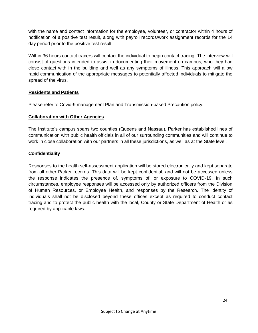with the name and contact information for the employee, volunteer, or contractor within 4 hours of notification of a positive test result, along with payroll records/work assignment records for the 14 day period prior to the positive test result.

Within 36 hours contact tracers will contact the individual to begin contact tracing. The interview will consist of questions intended to assist in documenting their movement on campus, who they had close contact with in the building and well as any symptoms of illness. This approach will allow rapid communication of the appropriate messages to potentially affected individuals to mitigate the spread of the virus.

#### **Residents and Patients**

Please refer to Covid-9 management Plan and Transmission-based Precaution policy.

#### **Collaboration with Other Agencies**

The Institute's campus spans two counties (Queens and Nassau). Parker has established lines of communication with public health officials in all of our surrounding communities and will continue to work in close collaboration with our partners in all these jurisdictions, as well as at the State level.

#### **Confidentiality**

<span id="page-23-0"></span>Responses to the health self-assessment application will be stored electronically and kept separate from all other Parker records. This data will be kept confidential, and will not be accessed unless the response indicates the presence of, symptoms of, or exposure to COVID-19. In such circumstances, employee responses will be accessed only by authorized officers from the Division of Human Resources, or Employee Health, and responses by the Research. The identity of individuals shall not be disclosed beyond these offices except as required to conduct contact tracing and to protect the public health with the local, County or State Department of Health or as required by applicable laws.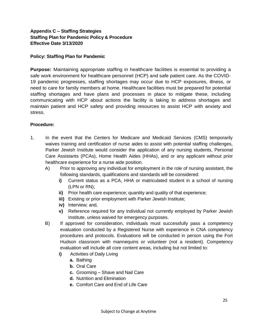# **Appendix C – Staffing Strategies Staffing Plan for Pandemic Policy & Procedure Effective Date 3/13/2020**

#### **Policy: Staffing Plan for Pandemic**

**Purpose:** Maintaining appropriate staffing in healthcare facilities is essential to providing a safe work environment for healthcare personnel (HCP) and safe patient care. As the COVID-19 pandemic progresses, staffing shortages may occur due to HCP exposures, illness, or need to care for family members at home. Healthcare facilities must be prepared for potential staffing shortages and have plans and processes in place to mitigate these, including communicating with HCP about actions the facility is taking to address shortages and maintain patient and HCP safety and providing resources to assist HCP with anxiety and stress.

#### **Procedure:**

- 1. In the event that the Centers for Medicare and Medicaid Services (CMS) temporarily waives training and certification of nurse aides to assist with potential staffing challenges, Parker Jewish Institute would consider the application of any nursing students, Personal Care Assistants (PCAs), Home Health Aides (HHAs), and or any applicant without prior healthcare experience for a nurse aide position.
	- A) Prior to approving any individual for employment in the role of nursing assistant, the following standards, qualifications and standards will be considered:
		- **i)** Current status as a PCA, HHA or matriculated student in a school of nursing (LPN or RN);
		- **ii)** Prior health care experience; quantity and quality of that experience;
		- **iii)** Existing or prior employment with Parker Jewish Institute;
		- **iv)** Interview; and,
		- **v)** Reference required for any individual not currently employed by Parker Jewish Institute, unless waived for emergency purposes.
	- B) If approved for consideration, individuals must successfully pass a competency evaluation conducted by a Registered Nurse with experience in CNA competency procedures and protocols. Evaluations will be conducted in person using the Fort Hudson classroom with mannequins or volunteer (not a resident). Competency evaluation will include all core content areas, including but not limited to:
		- **i)** Activities of Daily Living
			- **a.** Bathing
			- **b.** Oral Care
			- **c.** Grooming Shave and Nail Care
			- **d.** Nutrition and Elimination
			- **e.** Comfort Care and End of Life Care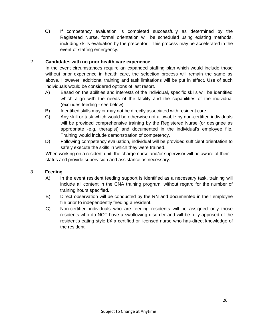C) If competency evaluation is completed successfully as determined by the Registered Nurse, formal orientation will be scheduled using existing methods, including skills evaluation by the preceptor. This process may be accelerated in the event of staffing emergency.

# 2. **Candidates with no prior health care experience**

In the event circumstances require an expanded staffing plan which would include those without prior experience in health care, the selection process will remain the same as above. However, additional training and task limitations will be put in effect. Use of such individuals would be considered options of last resort.

- A) Based on the abilities and interests of the individual, specific skills will be identified which align with the needs of the facility and the capabilities of the individual (excludes feeding - see below)
- B) Identified skills may or may not be directly associated with resident care.
- C) Any skill or task which would be otherwise not allowable by non-certified individuals will be provided comprehensive training by the Registered Nurse (or designee as appropriate -e.g. therapist) and documented in the individual's employee file. Training would include demonstration of competency.
- D) Following competency evaluation, individual will be provided sufficient orientation to safely execute the skills in which they were trained.

When working on a resident unit, the charge nurse and/or supervisor will be aware of their status and provide supervision and assistance as necessary.

# 3. **Feeding**

- A) In the event resident feeding support is identified as a necessary task, training will include all content in the CNA training program, without regard for the number of training hours specified.
- B) Direct observation will be conducted by the RN and documented in their employee file prior to independently feeding a resident.
- C) Non-certified individuals who are feeding residents will be assigned only those residents who do NOT have a swallowing disorder and will be fully apprised of the resident's eating style b¥ a certified or licensed nurse who has-direct knowledge of the resident.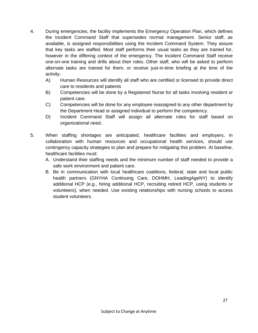- <span id="page-26-0"></span>4. During emergencies, the facility implements the Emergency Operation Plan, which defines the Incident Command Staff that supersedes normal management. Senior staff, as available, is assigned responsibilities using the Incident Command System. They assure that key tasks are staffed. Most staff performs their usual tasks as they are trained for, however in the differing context of the emergency. The Incident Command Staff receive one-on-one training and drills about their roles. Other staff, who will be asked to perform alternate tasks are trained for them, or receive just-in-time briefing at the time of the activity.
	- A) Human Resources will identify all staff who are certified or licensed to provide direct care to residents and patients
	- B) Competencies will be done by a Registered Nurse for all tasks involving resident or patient care.
	- C) Competencies will be done for any employee reassigned to any other department by the Department Head or assigned individual to perform the competency.
	- D) Incident Command Staff will assign all alternate roles for staff based on organizational need.
- 5. When staffing shortages are anticipated, healthcare facilities and employers, in collaboration with human resources and occupational health services, should use contingency capacity strategies to plan and prepare for mitigating this problem. At baseline, healthcare facilities must:
	- A. Understand their staffing needs and the minimum number of staff needed to provide a safe work environment and patient care.
	- B. Be in communication with local healthcare coalitions, federal, state and local public health partners (GNYHA Continuing Care, DOHMH, LeadingAgeNY) to identify additional HCP (e.g., hiring additional HCP, recruiting retired HCP, using students or volunteers), when needed. Use existing relationships with nursing schools to access student volunteers.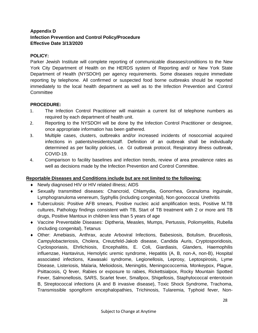# **Appendix D Infection Prevention and Control Policy/Procedure Effective Date 3/13/2020**

#### **POLICY:**

Parker Jewish Institute will complete reporting of communicable diseases/conditions to the New York City Department of Health on the HERDS system of Reporting and/ or New York State Department of Health (NYSDOH) per agency requirements. Some diseases require immediate reporting by telephone. All confirmed or suspected food borne outbreaks should be reported immediately to the local health department as well as to the Infection Prevention and Control Committee

#### **PROCEDURE:**

- 1. The Infection Control Practitioner will maintain a current list of telephone numbers as required by each department of health unit.
- 2. Reporting to the NYSDOH will be done by the Infection Control Practitioner or designee, once appropriate information has been gathered.
- 3. Multiple cases, clusters, outbreaks and/or increased incidents of nosocomial acquired infections in patients/residents/staff. Definition of an outbreak shall be individually determined as per facility policies, i.e. GI outbreak protocol, Respiratory illness outbreak, COVID-19.
- 4. Comparison to facility baselines and infection trends, review of area prevalence rates as well as decisions made by the Infection Prevention and Control Committee.

# **Reportable Diseases and Conditions include but are not limited to the following:**

- Newly diagnosed HIV or HIV related illness; AIDS
- Sexually transmitted diseases: Chancroid, Chlamydia, Gonorrhea, Granuloma inguinale, Lymphogranuloma venereum, Syphyllis (including congenital), Non gonococcal Urethritis
- Tuberculosis: Positive AFB smears, Positive nucleic acid amplification tests, Positive M.TB cultures, Pathology findings consistent with TB, Start of TB treatment with 2 or more anti TB drugs, Positive Mantoux in children less than 5 years of age
- Vaccine Preventable Diseases: Diptheria, Measles, Mumps, Pertussis, Poliomyelitis, Rubella (including congenital), Tetanus
- Other: Amebiasis, Anthrax, acute Arboviral Infections, Babesiosis, Botulism, Brucellosis, Campylobacteriosis, Cholera, Creutzfeld-Jakob disease, Candida Auris, Cryptosporidiosis, Cyclosporiasis, Ehrlichiosis, Encephalitis, E. Coli, Giardiasis, Glanders, Haemophilis influenzae, Hantavirus, Hemolytic uremic syndrome, Hepatitis (A, B, non-A, non-B), Hospital associated infections, Kawasaki syndrome, Legionellosis, Leprosy, Leptospirosis, Lyme Disease, Listeriosis, Malaria, Melioidosis, Meningitis, Meningococcemia, Monkeypox, Plague, Psittacosis, Q fever, Rabies or exposure to rabies, Rickettsialpox, Rocky Mountain Spotted Fever, Salmonellosis, SARS, Scarlet fever, Smallpox, Shigellosis, Staphylococcal enterotoxin B, Streptococcal infections (A and B invasive disease), Toxic Shock Syndrome, Trachoma, Transmissible spongiform encephalopathies, Trichinosis, Tularemia, Typhoid fever, Non-